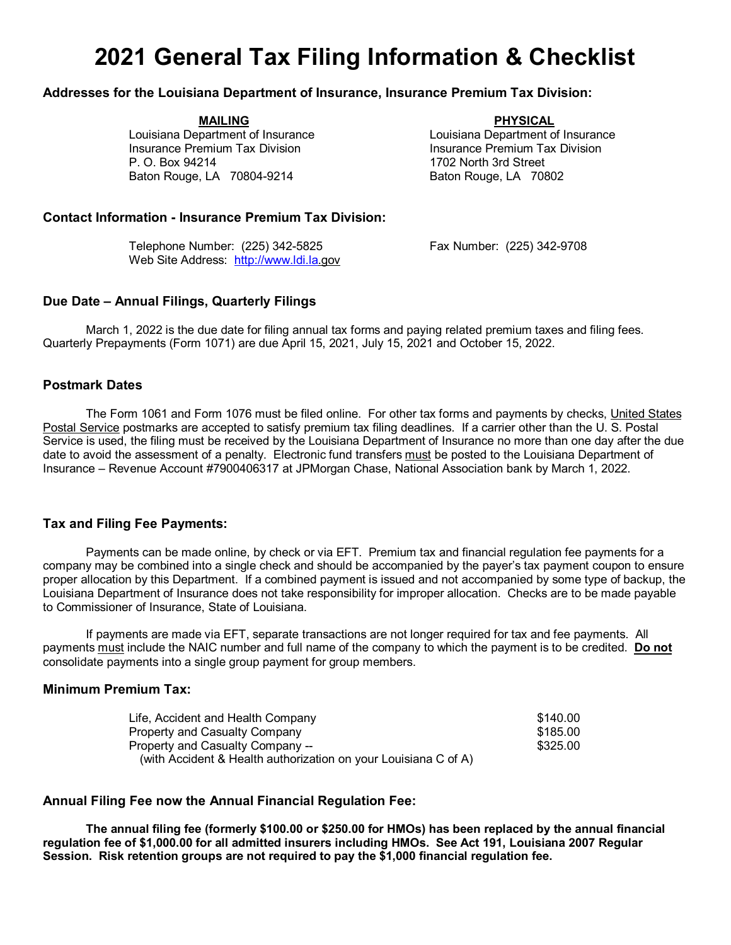# **2021 General Tax Filing Information & Checklist**

## **Addresses for the Louisiana Department of Insurance, Insurance Premium Tax Division:**

**MAILING PHYSICAL** Louisiana Department of Insurance Louisiana Department of Insurance Insurance Premium Tax Division<br>
P. O. Box 94214<br>
1702 North 3rd Street

1702 North 3rd Street Baton Rouge, LA 70804-9214 Baton Rouge, LA 70802

## **Contact Information - Insurance Premium Tax Division:**

Telephone Number: (225) 342-5825 Fax Number: (225) 342-9708 Web Site Address: [http://www.ldi.la.](http://www.ldi.la/)gov

## **Due Date – Annual Filings, Quarterly Filings**

March 1, 2022 is the due date for filing annual tax forms and paying related premium taxes and filing fees. Quarterly Prepayments (Form 1071) are due April 15, 2021, July 15, 2021 and October 15, 2022.

#### **Postmark Dates**

The Form 1061 and Form 1076 must be filed online. For other tax forms and payments by checks, United States Postal Service postmarks are accepted to satisfy premium tax filing deadlines. If a carrier other than the U. S. Postal Service is used, the filing must be received by the Louisiana Department of Insurance no more than one day after the due date to avoid the assessment of a penalty. Electronic fund transfers must be posted to the Louisiana Department of Insurance – Revenue Account #7900406317 at JPMorgan Chase, National Association bank by March 1, 2022.

#### **Tax and Filing Fee Payments:**

Payments can be made online, by check or via EFT. Premium tax and financial regulation fee payments for a company may be combined into a single check and should be accompanied by the payer's tax payment coupon to ensure proper allocation by this Department. If a combined payment is issued and not accompanied by some type of backup, the Louisiana Department of Insurance does not take responsibility for improper allocation. Checks are to be made payable to Commissioner of Insurance, State of Louisiana.

If payments are made via EFT, separate transactions are not longer required for tax and fee payments. All payments must include the NAIC number and full name of the company to which the payment is to be credited. **Do not** consolidate payments into a single group payment for group members.

## **Minimum Premium Tax:**

| Life, Accident and Health Company                               | \$140.00 |
|-----------------------------------------------------------------|----------|
| Property and Casualty Company                                   | \$185.00 |
| Property and Casualty Company --                                | \$325.00 |
| (with Accident & Health authorization on your Louisiana C of A) |          |

## **Annual Filing Fee now the Annual Financial Regulation Fee:**

**The annual filing fee (formerly \$100.00 or \$250.00 for HMOs) has been replaced by the annual financial regulation fee of \$1,000.00 for all admitted insurers including HMOs. See Act 191, Louisiana 2007 Regular Session. Risk retention groups are not required to pay the \$1,000 financial regulation fee.**